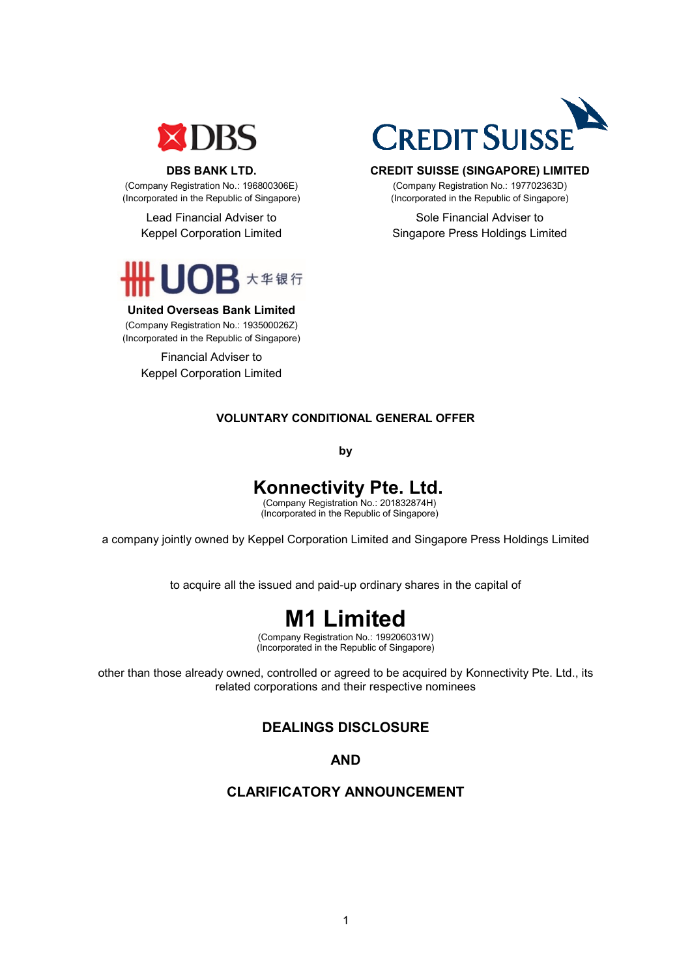

#### **DBS BANK LTD.**

(Company Registration No.: 196800306E) (Incorporated in the Republic of Singapore)

> Lead Financial Adviser to Keppel Corporation Limited



#### **United Overseas Bank Limited**

(Company Registration No.: 193500026Z) (Incorporated in the Republic of Singapore)

> Financial Adviser to Keppel Corporation Limited



#### **CREDIT SUISSE (SINGAPORE) LIMITED**

(Company Registration No.: 197702363D) (Incorporated in the Republic of Singapore)

Sole Financial Adviser to Singapore Press Holdings Limited

### **VOLUNTARY CONDITIONAL GENERAL OFFER**

**by**

# **Konnectivity Pte. Ltd.**

 (Company Registration No.: 201832874H) (Incorporated in the Republic of Singapore)

a company jointly owned by Keppel Corporation Limited and Singapore Press Holdings Limited

to acquire all the issued and paid-up ordinary shares in the capital of

# **M1 Limited**

(Company Registration No.: 199206031W) (Incorporated in the Republic of Singapore)

other than those already owned, controlled or agreed to be acquired by Konnectivity Pte. Ltd., its related corporations and their respective nominees

# **DEALINGS DISCLOSURE**

**AND** 

#### **CLARIFICATORY ANNOUNCEMENT**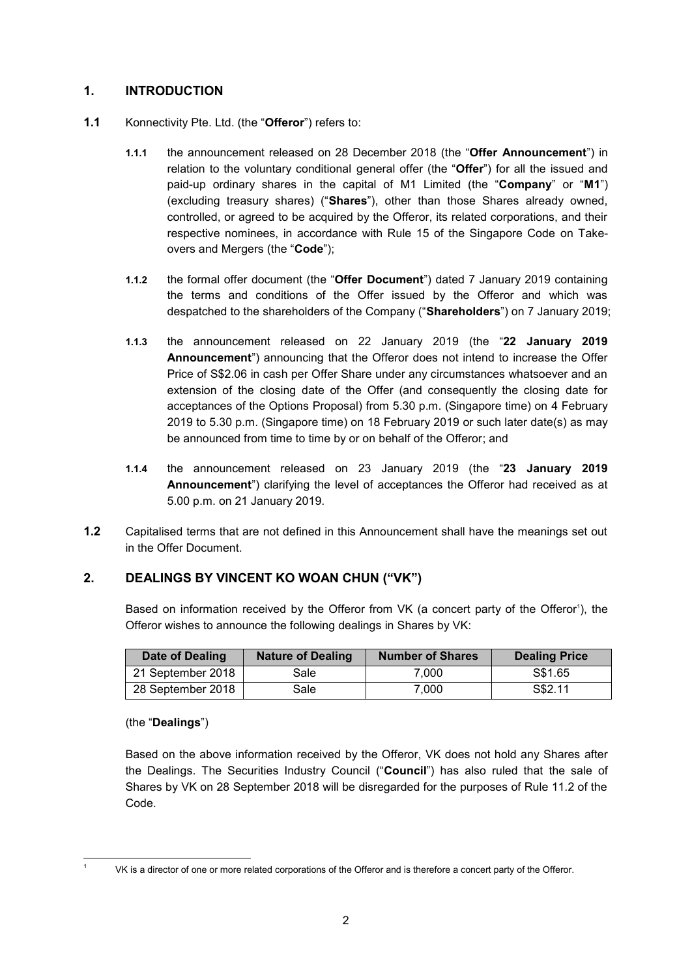### **1. INTRODUCTION**

- **1.1** Konnectivity Pte. Ltd. (the "**Offeror**") refers to:
	- **1.1.1** the announcement released on 28 December 2018 (the "**Offer Announcement**") in relation to the voluntary conditional general offer (the "**Offer**") for all the issued and paid-up ordinary shares in the capital of M1 Limited (the "**Company**" or "**M1**") (excluding treasury shares) ("**Shares**"), other than those Shares already owned, controlled, or agreed to be acquired by the Offeror, its related corporations, and their respective nominees, in accordance with Rule 15 of the Singapore Code on Takeovers and Mergers (the "**Code**");
	- **1.1.2** the formal offer document (the "**Offer Document**") dated 7 January 2019 containing the terms and conditions of the Offer issued by the Offeror and which was despatched to the shareholders of the Company ("**Shareholders**") on 7 January 2019;
	- **1.1.3** the announcement released on 22 January 2019 (the "**22 January 2019 Announcement**") announcing that the Offeror does not intend to increase the Offer Price of S\$2.06 in cash per Offer Share under any circumstances whatsoever and an extension of the closing date of the Offer (and consequently the closing date for acceptances of the Options Proposal) from 5.30 p.m. (Singapore time) on 4 February 2019 to 5.30 p.m. (Singapore time) on 18 February 2019 or such later date(s) as may be announced from time to time by or on behalf of the Offeror; and
	- **1.1.4** the announcement released on 23 January 2019 (the "**23 January 2019 Announcement**") clarifying the level of acceptances the Offeror had received as at 5.00 p.m. on 21 January 2019.
- **1.2** Capitalised terms that are not defined in this Announcement shall have the meanings set out in the Offer Document.

# **2. DEALINGS BY VINCENT KO WOAN CHUN ("VK")**

Based on information received by the Offeror from VK (a concert party of the Offeror<sup>1</sup>), the Offeror wishes to announce the following dealings in Shares by VK:

| Date of Dealing   | <b>Nature of Dealing</b> | <b>Number of Shares</b> | <b>Dealing Price</b> |
|-------------------|--------------------------|-------------------------|----------------------|
| 21 September 2018 | Sale                     | 7.000                   | S\$1.65              |
| 28 September 2018 | Sale                     | 7.000                   | S\$2.11              |

(the "**Dealings**")

<u>.</u>

Based on the above information received by the Offeror, VK does not hold any Shares after the Dealings. The Securities Industry Council ("**Council**") has also ruled that the sale of Shares by VK on 28 September 2018 will be disregarded for the purposes of Rule 11.2 of the Code.

<sup>1</sup> VK is a director of one or more related corporations of the Offeror and is therefore a concert party of the Offeror.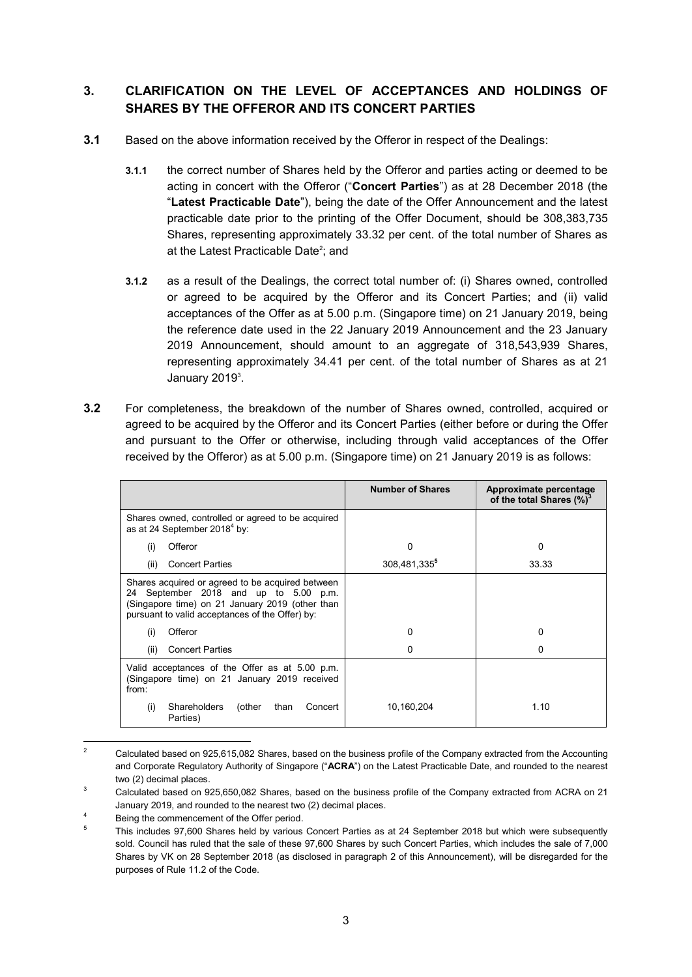# **3. CLARIFICATION ON THE LEVEL OF ACCEPTANCES AND HOLDINGS OF SHARES BY THE OFFEROR AND ITS CONCERT PARTIES**

- **3.1** Based on the above information received by the Offeror in respect of the Dealings:
	- **3.1.1** the correct number of Shares held by the Offeror and parties acting or deemed to be acting in concert with the Offeror ("**Concert Parties**") as at 28 December 2018 (the "**Latest Practicable Date**"), being the date of the Offer Announcement and the latest practicable date prior to the printing of the Offer Document, should be 308,383,735 Shares, representing approximately 33.32 per cent. of the total number of Shares as at the Latest Practicable Date<sup>2</sup>; and
	- **3.1.2** as a result of the Dealings, the correct total number of: (i) Shares owned, controlled or agreed to be acquired by the Offeror and its Concert Parties; and (ii) valid acceptances of the Offer as at 5.00 p.m. (Singapore time) on 21 January 2019, being the reference date used in the 22 January 2019 Announcement and the 23 January 2019 Announcement, should amount to an aggregate of 318,543,939 Shares, representing approximately 34.41 per cent. of the total number of Shares as at 21 January 2019<sup>3</sup>.
- **3.2** For completeness, the breakdown of the number of Shares owned, controlled, acquired or agreed to be acquired by the Offeror and its Concert Parties (either before or during the Offer and pursuant to the Offer or otherwise, including through valid acceptances of the Offer received by the Offeror) as at 5.00 p.m. (Singapore time) on 21 January 2019 is as follows:

|                                                                                                                                                                                                    | <b>Number of Shares</b> | Approximate percentage<br>of the total Shares (%) <sup>3</sup> |
|----------------------------------------------------------------------------------------------------------------------------------------------------------------------------------------------------|-------------------------|----------------------------------------------------------------|
| Shares owned, controlled or agreed to be acquired<br>as at 24 September 2018 <sup>4</sup> by:                                                                                                      |                         |                                                                |
| Offeror<br>(i)                                                                                                                                                                                     | 0                       | $\Omega$                                                       |
| <b>Concert Parties</b><br>(ii)                                                                                                                                                                     | 308,481,335°            | 33.33                                                          |
| Shares acquired or agreed to be acquired between<br>September 2018 and up to 5.00 p.m.<br>24<br>(Singapore time) on 21 January 2019 (other than<br>pursuant to valid acceptances of the Offer) by: |                         |                                                                |
| Offeror<br>(i)                                                                                                                                                                                     | 0                       | 0                                                              |
| <b>Concert Parties</b><br>(ii)                                                                                                                                                                     | 0                       |                                                                |
| Valid acceptances of the Offer as at 5.00 p.m.<br>(Singapore time) on 21 January 2019 received<br>from:                                                                                            |                         |                                                                |
| Shareholders<br>(other<br>than<br>Concert<br>(i)<br>Parties)                                                                                                                                       | 10,160,204              | 1.10                                                           |

 $\overline{2}$ <sup>2</sup> Calculated based on 925,615,082 Shares, based on the business profile of the Company extracted from the Accounting and Corporate Regulatory Authority of Singapore ("**ACRA**") on the Latest Practicable Date, and rounded to the nearest two (2) decimal places.

<sup>&</sup>lt;sup>3</sup> Calculated based on 925,650,082 Shares, based on the business profile of the Company extracted from ACRA on 21 January 2019, and rounded to the nearest two (2) decimal places.

Being the commencement of the Offer period.

<sup>5</sup> This includes 97,600 Shares held by various Concert Parties as at 24 September 2018 but which were subsequently sold. Council has ruled that the sale of these 97,600 Shares by such Concert Parties, which includes the sale of 7,000 Shares by VK on 28 September 2018 (as disclosed in paragraph 2 of this Announcement), will be disregarded for the purposes of Rule 11.2 of the Code.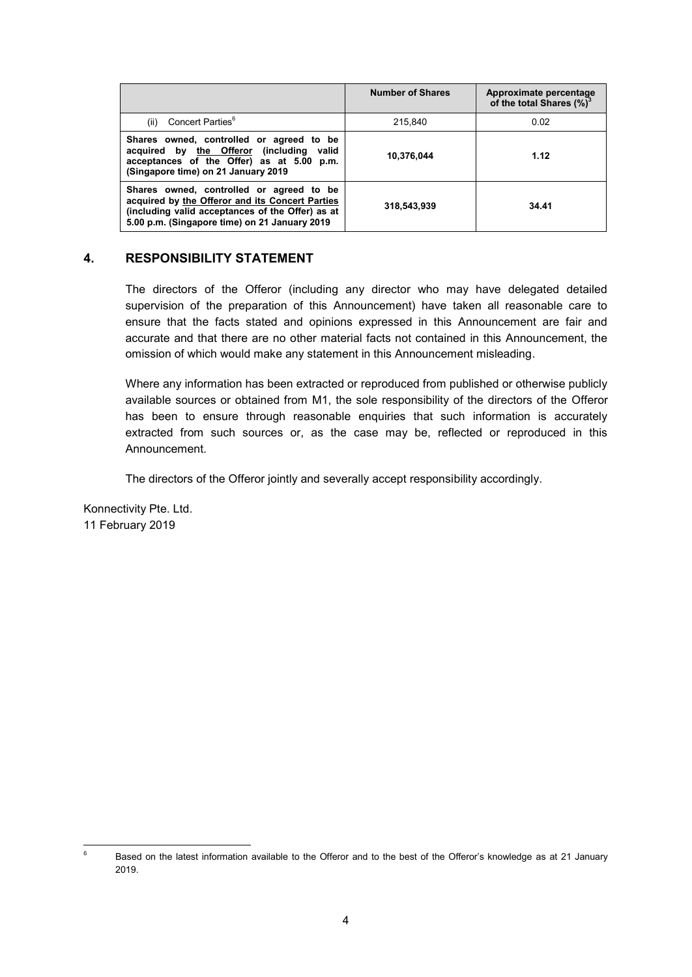|                                                                                                                                                                                                  | <b>Number of Shares</b> | Approximate percentage<br>of the total Shares (%) <sup>3</sup> |
|--------------------------------------------------------------------------------------------------------------------------------------------------------------------------------------------------|-------------------------|----------------------------------------------------------------|
| Concert Parties <sup>6</sup><br>(ii)                                                                                                                                                             | 215.840                 | 0.02                                                           |
| Shares owned, controlled or agreed to be<br>acquired by the Offeror (including<br>valid<br>acceptances of the Offer) as at 5.00 p.m.<br>(Singapore time) on 21 January 2019                      | 10,376,044              | 1.12                                                           |
| Shares owned, controlled or agreed to be<br>acquired by the Offeror and its Concert Parties<br>(including valid acceptances of the Offer) as at<br>5.00 p.m. (Singapore time) on 21 January 2019 | 318,543,939             | 34.41                                                          |

#### **4. RESPONSIBILITY STATEMENT**

The directors of the Offeror (including any director who may have delegated detailed supervision of the preparation of this Announcement) have taken all reasonable care to ensure that the facts stated and opinions expressed in this Announcement are fair and accurate and that there are no other material facts not contained in this Announcement, the omission of which would make any statement in this Announcement misleading.

Where any information has been extracted or reproduced from published or otherwise publicly available sources or obtained from M1, the sole responsibility of the directors of the Offeror has been to ensure through reasonable enquiries that such information is accurately extracted from such sources or, as the case may be, reflected or reproduced in this Announcement.

The directors of the Offeror jointly and severally accept responsibility accordingly.

Konnectivity Pte. Ltd. 11 February 2019

 $6\phantom{a}$ <sup>6</sup> Based on the latest information available to the Offeror and to the best of the Offeror's knowledge as at 21 January 2019.